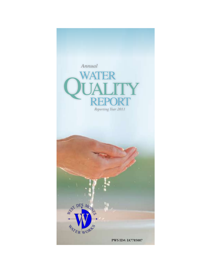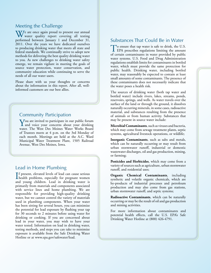### Meeting the Challenge

W/e are once again proud to present our annual water quality report covering all testing performed between January 1 and December 31, 2011. Over the years we have dedicated ourselves to producing drinking water that meets all state and federal standards. We continually strive to adopt new methods for delivering the best quality drinking water to you. As new challenges to drinking water safety emerge, we remain vigilant in meeting the goals of source water protection, water conservation, and community education while continuing to serve the needs of all our water users.

Please share with us your thoughts or concerns about the information in this report. After all, wellinformed customers are our best allies.

### Community Participation

You are invited to participate in our public forum<br>and voice your concerns about your drinking water. The West Des Moines Water Works Board of Trustees meets at 4 p.m. on the 3rd Monday of each month. Meetings are held at the A.C. Ward Municipal Water Treatment Plant, 1505 Railroad Avenue, West Des Moines, Iowa.

### Lead in Home Plumbing

If present, elevated levels of lead can cause serious<br>health problems, especially for pregnant women health problems, especially for pregnant women and young children. Lead in drinking water is primarily from materials and components associated with service lines and home plumbing. We are responsible for providing high-quality drinking water, but we cannot control the variety of materials used in plumbing components. When your water has been sitting for several hours, you can minimize the potential for lead exposure by flushing your tap for 30 seconds to 2 minutes before using water for drinking or cooking. If you are concerned about lead in your water, you may wish to have your water tested. Information on lead in drinking water, testing methods, and steps you can take to minimize exposure is available from the Safe Drinking Water Hotline or at www.epa.gov/safewater/lead.

## Substances That Could Be in Water

To ensure that tap water is safe to drink, the U.S.<br>EPA prescribes regulations limiting the amount of certain contaminants in water provided by public water systems. U.S. Food and Drug Administration regulations establish limits for contaminants in bottled water, which must provide the same protection for public health. Drinking water, including bottled water, may reasonably be expected to contain at least small amounts of some contaminants. The presence of these contaminants does not necessarily indicate that the water poses a health risk.

The sources of drinking water (both tap water and bottled water) include rivers, lakes, streams, ponds, reservoirs, springs, and wells. As water travels over the surface of the land or through the ground, it dissolves naturally occurring minerals, in some cases, radioactive material, and substances resulting from the presence of animals or from human activity. Substances that may be present in source water include:

**Microbial Contaminants**, such as viruses and bacteria, which may come from sewage treatment plants, septic systems, agricultural livestock operations, or wildlife;

**Inorganic Contaminants**, such as salts and metals, which can be naturally occurring or may result from urban stormwater runoff, industrial or domestic wastewater discharges, oil and gas production, mining, or farming;

**Pesticides and Herbicides**, which may come from a variety of sources such as agriculture, urban stormwater runoff, and residential uses;

**Organic Chemical Contaminants**, including synthetic and volatile organic chemicals, which are by-products of industrial processes and petroleum production and may also come from gas stations, urban stormwater runoff, and septic systems;

**Radioactive Contaminants**, which can be naturally occurring or may be the result of oil and gas production and mining activities.

For more information about contaminants and potential health effects, call the U.S. EPA's Safe Drinking Water Hotline at (800) 426-4791.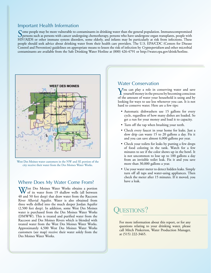### Important Health Information

Some people may be more vulnerable to contaminants in drinking water than the general population. Immunocompromised<br>Spersons such as persons with cancer undergoing chemotherapy, persons who have undergone organ transplants HIV/AIDS or other immune system disorders, some elderly, and infants may be particularly at risk from infections. These people should seek advice about drinking water from their health care providers. The U.S. EPA/CDC (Centers for Disease Control and Prevention) guidelines on appropriate means to lessen the risk of infection by *Cryptosporidium* and other microbial contaminants are available from the Safe Drinking Water Hotline at (800) 426-4791 or http://water.epa.gov/drink/hotline.



West Des Moines water customers in the NW and SE portion of the city receive their water from the Des Moines Water Works.

### Where Does My Water Come From?

West Des Moines Water Works obtains a portion of its water from 19 shallow wells (all between 40 and 50 feet deep) that draw water from the Raccoon River Alluvial Aquifer. Water is also obtained from three wells drilled into the much deeper Jordan Aquifer (2,500 feet deep). In addition, some West Des Moines water is purchased from the Des Moines Water Works (DMWW). This is treated and purified water from the Raccoon and Des Moines Rivers which is blended with treated water from the West Des Moines Water Works. Approximately 4,500 West Des Moines Water Works customers (see map) receive their water solely from the Des Moines Water Works.

### Water Conservation

You can play a role in conserving water and save yourself money in the process by becoming conscious of the amount of water your household is using and by looking for ways to use less whenever you can. It is not hard to conserve water. Here are a few tips:

- Automatic dishwashers use 15 gallons for every cycle, regardless of how many dishes are loaded. So get a run for your money and load it to capacity.
- Turn off the tap when brushing your teeth.
- Check every faucet in your home for leaks. Just a slow drip can waste 15 to 20 gallons a day. Fix it and you can save almost 6,000 gallons per year.
- Check your toilets for leaks by putting a few drops of food coloring in the tank. Watch for a few minutes to see if the color shows up in the bowl. It is not uncommon to lose up to 100 gallons a day from an invisible toilet leak. Fix it and you save more than 30,000 gallons a year.
- Use your water meter to detect hidden leaks. Simply turn off all taps and water-using appliances. Then check the meter after 15 minutes. If it moved, you have a leak.

# UESTIONS?

For more information about this report, or for any questions relating to your drinking water, please call Mitch Pinkerton, Water Production Manager, at (515) 222-3465.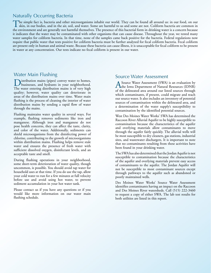## Naturally Occurring Bacteria

The simple fact is, bacteria and other microorganisms inhabit our world. They can be found all around us: in our food, on our skin, in our bodies, and in the air, soil, and water. Some are harmful to us and some are not. Coliform bacteria are common in the environment and are generally not harmful themselves. The presence of this bacterial form in drinking water is a concern because it indicates that the water may be contaminated with other organisms that can cause disease. Throughout the year, we tested many water samples for coliform bacteria. In that time, none of the samples came back positive for the bacteria. Federal regulations now require that public water that tests positive for coliform bacteria must be further analyzed for fecal coliform bacteria. Fecal coliform are present only in human and animal waste. Because these bacteria can cause illness, it is unacceptable for fecal coliform to be present in water at any concentration. Our tests indicate no fecal coliform is present in our water.

## Water Main Flushing

Distribution mains (pipes) convey water to homes, businesses, and hydrants in your neighborhood. The water entering distribution mains is of very high quality; however, water quality can deteriorate in areas of the distribution mains over time. Water main flushing is the process of cleaning the interior of water distribution mains by sending a rapid flow of water through the mains.

Flushing maintains water quality in several ways. For example, flushing removes sediments like iron and manganese. Although iron and manganese do not pose health concerns, they can affect the taste, clarity, and color of the water. Additionally, sediments can shield microorganisms from the disinfecting power of chlorine, contributing to the growth of microorganisms within distribution mains. Flushing helps remove stale water and ensures the presence of fresh water with sufficient dissolved oxygen, disinfectant levels, and an acceptable taste and smell.

During flushing operations in your neighborhood, some short-term deterioration of water quality, though uncommon, is possible. You should avoid tap water for household uses at that time. If you do use the tap, allow your cold water to run for a few minutes at full velocity before use and avoid using hot water, to prevent sediment accumulation in your hot water tank.

Please contact us if you have any questions or if you would like more information on our water main flushing schedule.

### Source Water Assessment

A Source Water Assessment (SWA) is an evaluation by the Iowa Department of Natural Resources (IDNR) of the delineated area around our listed sources through which contaminants, if present, could migrate and reach our source water. It also includes an inventory of potential sources of contamination within the delineated area, and a determination of the water supply's susceptibility to contamination by the identified potential sources.

West Des Moines Water Works' SWA has determined the Raccoon River Alluvial Aquifer to be highly susceptible to contamination because the characteristics of the aquifer and overlying materials allow contaminants to move through the aquifer fairly quickly. The alluvial wells will be most susceptible to dry cleaners, gas stations, industrial sites, and wastewater dischargers. It is important to note that no contaminants resulting from these activities have been found in your drinking water.

The SWA has also determined that the Jordan Aquifer is not susceptible to contamination because the characteristics of the aquifer and overlying materials prevent easy access of contaminants to the aquifer. The Jordan Aquifer will not be susceptible to most contaminant sources except through pathways to the aquifer such as abandoned or poorly maintained wells.

Des Moines Water Works' Source Water Assessment identifies contaminants having an impact on the Raccoon and Des Moines River watersheds. Call (515) 222-3460 to request a copy of either SWA. The lab test results for both utilities are listed in this report.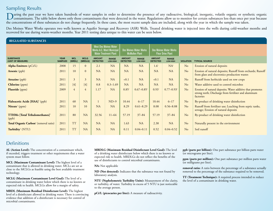## Sampling Results

During the past year we have taken hundreds of water samples in order to determine the presence of any radioactive, biological, inorganic, volatile organic or synthetic organic organic organic organic organic organic organ the concentrations of these substances do not change frequently. In these cases, the most recent sample data are included, along with the year in which the sample was taken.

Des Moines Water Works operates two wells known as Aquifer Storage and Recovery (ASR) Wells. Treated drinking water is injected into the wells during cold-weather months and recovered for use during warm-weather months. Year 2011 testing data unique to this water can be seen below.

| <b>REGULATED SUBSTANCES</b>                          |                               |                      |                        |                                                                                           |                                 |                                                        |                            |                                                           |                                 |                  |                                                                                                                                |  |  |
|------------------------------------------------------|-------------------------------|----------------------|------------------------|-------------------------------------------------------------------------------------------|---------------------------------|--------------------------------------------------------|----------------------------|-----------------------------------------------------------|---------------------------------|------------------|--------------------------------------------------------------------------------------------------------------------------------|--|--|
|                                                      |                               |                      |                        | <b>West Des Moines Water</b><br><b>Works A.C. Ward Municipal</b><br>Water Treatment Plant |                                 | <b>Des Moines Water Works</b><br><b>McMullen Plant</b> |                            | <b>Des Moines Water Works</b><br><b>Fleur Drive Plant</b> |                                 |                  |                                                                                                                                |  |  |
| <b>SUBSTANCE</b><br>(UNIT OF MEASURE)                | <b>YEAR</b><br><b>SAMPLED</b> | <b>MCL</b><br>[MRDL] | <b>MCLG</b><br>[MRDLG] | <b>AMOUNT</b><br><b>DETECTED</b>                                                          | <b>RANGE</b><br><b>LOW-HIGH</b> | <b>AMOUNT</b><br><b>DETECTED</b>                       | <b>RANGE</b><br>LOW-HIGH   | <b>AMOUNT</b><br><b>DETECTED</b>                          | <b>RANGE</b><br><b>LOW-HIGH</b> | <b>VIOLATION</b> | <b>TYPICAL SOURCE</b>                                                                                                          |  |  |
| Alpha Emitters (pCi/L)                               | 2008                          | 15                   | $\Omega$               | 2.1                                                                                       | <b>NA</b>                       | <b>NA</b>                                              | <b>NA</b>                  | $1.6^{\circ}$                                             | NA <sup>1</sup>                 | No               | Erosion of natural deposits                                                                                                    |  |  |
| Arsenic (ppb)                                        | 2011                          | 10                   | $\mathbf{0}$           | <b>NA</b>                                                                                 | <b>NA</b>                       | <b>NA</b>                                              | <b>NA</b>                  | <b>NA</b>                                                 | <b>NA</b>                       | No               | Erosion of natural deposits; Runoff from orchards; Runoff<br>from glass and electronics production wastes                      |  |  |
| <b>Atrazine</b> (ppb)                                | 2011                          | 3                    | $\overline{3}$         | NA                                                                                        | <b>NA</b>                       | < 0.1                                                  | <b>NA</b>                  | < 0.1                                                     | NA                              | No               | Runoff from herbicide used on row crops                                                                                        |  |  |
| Chlorine (ppm)                                       | 2011                          | $[4]$                | [4]                    | 0.8                                                                                       | $0.3 - 1.69$                    | <b>NA</b>                                              | <b>NA</b>                  | <b>NA</b>                                                 | <b>NA</b>                       | No               | Water additive used to control microbes                                                                                        |  |  |
| Fluoride (ppm)                                       | 2009                          | $\overline{4}$       | $\overline{4}$         | 1.17                                                                                      | <b>NA</b>                       | 0.85 <sup>1</sup>                                      | $0.67 - 0.85$ <sup>1</sup> | 0.93 <sup>1</sup>                                         | $0.77 - 0.93$ <sup>1</sup>      | No               | Erosion of natural deposits; Water additive that promotes<br>strong teeth; Discharge from fertilizer and aluminum<br>factories |  |  |
| Haloacetic Acids [HAA] <sup>2</sup> (ppb)            | 2011                          | 60                   | <b>NA</b>              | $\mathbf{1}$                                                                              | $ND-9$                          | 10.44                                                  | $6 - 17$                   | 10.44                                                     | $6 - 17$                        | No               | By-product of drinking water disinfection                                                                                      |  |  |
| Nitrate <sup>3</sup> (ppm)                           | 2011                          | 10                   | 10                     | NA                                                                                        | <b>NA</b>                       | 8.29                                                   | $0.61 - 8.29$              | 8.08                                                      | $0.56 - 8.08$                   | No               | Runoff from fertilizer use; Leaching from septic tanks,<br>sewage; Erosion of natural deposits                                 |  |  |
| $THMs$ [Total Trihalomethanes] <sup>2</sup><br>(ppb) | 2011                          | 80                   | <b>NA</b>              | 32.56                                                                                     | $11 - 64$                       | 57.19                                                  | $37 - 84$                  | 57.19                                                     | $37 - 84$                       | No               | By-product of drinking water disinfection                                                                                      |  |  |
| Total Organic Carbon <sup>4</sup> (removal ratio)    | 2011                          | <b>TT</b>            | <b>NA</b>              | NA                                                                                        | <b>NA</b>                       | 1.63                                                   | <b>NA</b>                  | 2.38                                                      | <b>NA</b>                       | N <sub>o</sub>   | Naturally present in the environment                                                                                           |  |  |
| Turbidity <sup>5</sup> (NTU)                         | 2011                          | <b>TT</b>            | <b>NA</b>              | <b>NA</b>                                                                                 | <b>NA</b>                       | 0.11                                                   | $0.04 - 0.11$              | 0.52                                                      | $0.04 - 0.52$                   | No               | Soil runoff                                                                                                                    |  |  |

# **Definitions**

**AL (Action Level):** The concentration of a contaminant which, if exceeded, triggers treatment or other requirements that a water system must follow.

**MCL (Maximum Contaminant Level):** The highest level of a contaminant that is allowed in drinking water. MCLs are set as close to the MCLGs as feasible using the best available treatment technology.

**MCLG (Maximum Contaminant Level Goal):** The level of a contaminant in drinking water below which there is no known or expected risk to health. MCLGs allow for a margin of safety.

**MRDL (Maximum Residual Disinfectant Level):** The highest level of a disinfectant allowed in drinking water. There is convincing evidence that addition of a disinfectant is necessary for control of microbial contaminants.

**MRDLG (Maximum Residual Disinfectant Level Goal):** The level of a drinking water disinfectant below which there is no known or expected risk to health. MRDLGs do not reflect the benefits of the use of disinfectants to control microbial contaminants.

**NA:** Not applicable

**ND (Not detected):** Indicates that the substance was not found by laboratory analysis.

**NTU (Nephelometric Turbidity Units):** Measurement of the clarity, or turbidity, of water. Turbidity in excess of 5 NTU is just noticeable to the average person.

**pCi/L (picocuries per liter):** A measure of radioactivity.

**ppb (parts per billion):** One part substance per billion parts water (or micrograms per liter).

**ppm (parts per million):** One part substance per million parts water (or milligrams per liter).

**removal ratio:** A ratio between the percentage of a substance actually removed to the percentage of the substance required to be removed.

**TT (Treatment Technique):** A required process intended to reduce the level of a contaminant in drinking water.